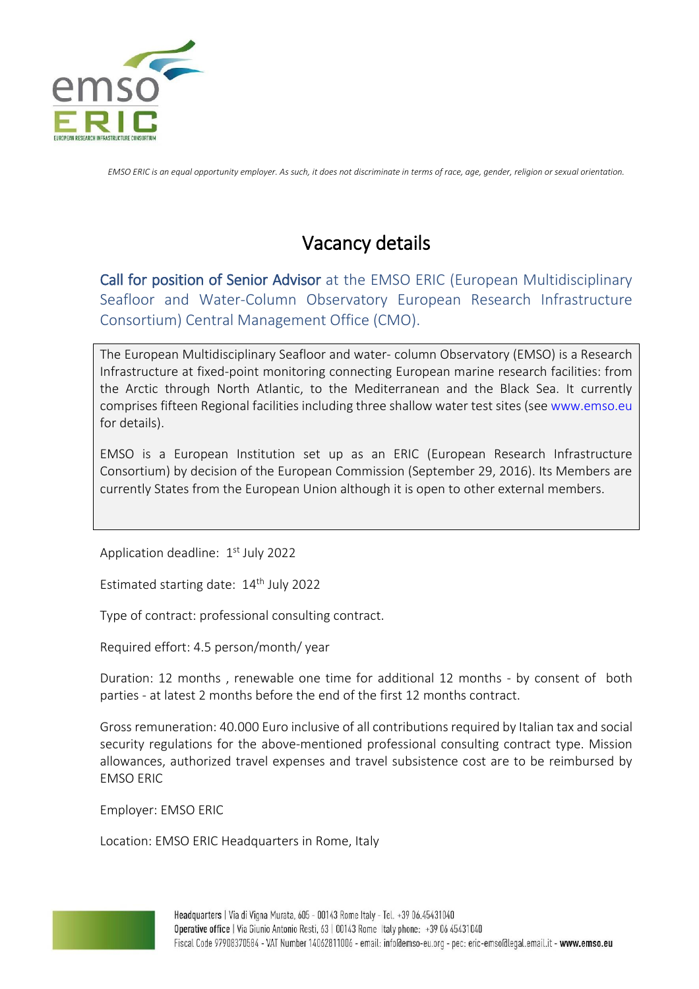

*EMSO ERIC is an equal opportunity employer. As such, it does not discriminate in terms of race, age, gender, religion or sexual orientation.*

# Vacancy details

Call for position of Senior Advisor at the EMSO ERIC (European Multidisciplinary Seafloor and Water-Column Observatory European Research Infrastructure Consortium) Central Management Office (CMO).

The European Multidisciplinary Seafloor and water- column Observatory (EMSO) is a Research Infrastructure at fixed-point monitoring connecting European marine research facilities: from the Arctic through North Atlantic, to the Mediterranean and the Black Sea. It currently comprises fifteen Regional facilities including three shallow water test sites (see www.emso.eu for details).

EMSO is a European Institution set up as an ERIC (European Research Infrastructure Consortium) by decision of the European Commission (September 29, 2016). Its Members are currently States from the European Union although it is open to other external members.

Application deadline: 1<sup>st</sup> July 2022

Estimated starting date: 14<sup>th</sup> July 2022

Type of contract: professional consulting contract.

Required effort: 4.5 person/month/ year

Duration: 12 months , renewable one time for additional 12 months - by consent of both parties - at latest 2 months before the end of the first 12 months contract.

Gross remuneration: 40.000 Euro inclusive of all contributions required by Italian tax and social security regulations for the above-mentioned professional consulting contract type. Mission allowances, authorized travel expenses and travel subsistence cost are to be reimbursed by EMSO ERIC

Employer: EMSO ERIC

Location: EMSO ERIC Headquarters in Rome, Italy

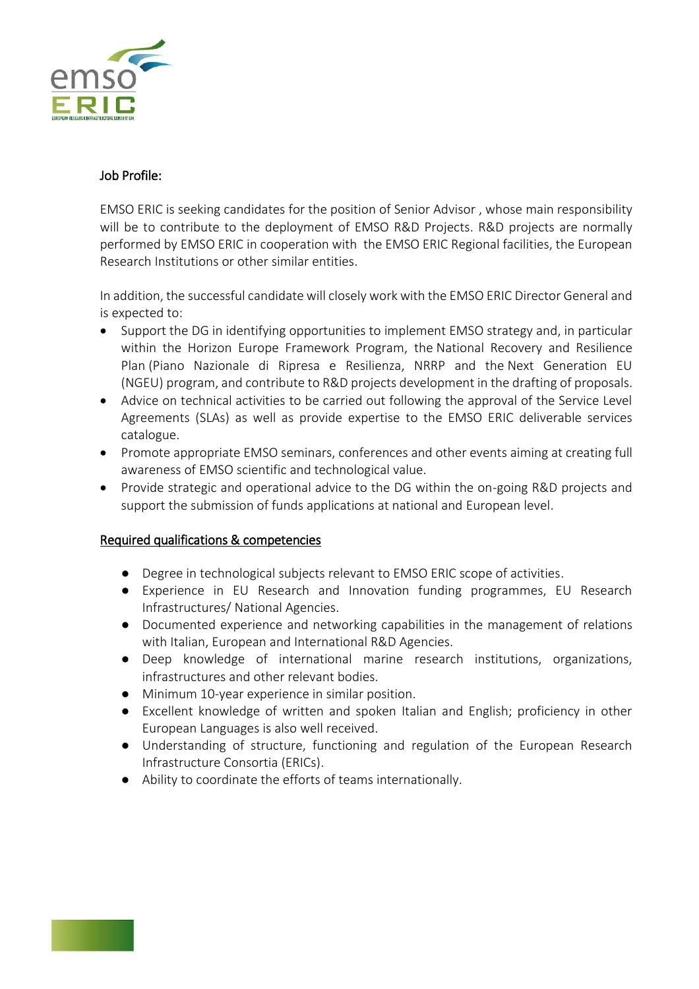

## Job Profile:

EMSO ERIC is seeking candidates for the position of Senior Advisor , whose main responsibility will be to contribute to the deployment of EMSO R&D Projects. R&D projects are normally performed by EMSO ERIC in cooperation with the EMSO ERIC Regional facilities, the European Research Institutions or other similar entities.

In addition, the successful candidate will closely work with the EMSO ERIC Director General and is expected to:

- Support the DG in identifying opportunities to implement EMSO strategy and, in particular within the Horizon Europe Framework Program, the National Recovery and Resilience Plan (Piano Nazionale di Ripresa e Resilienza, NRRP and the Next Generation EU (NGEU) program, and contribute to R&D projects development in the drafting of proposals.
- Advice on technical activities to be carried out following the approval of the Service Level Agreements (SLAs) as well as provide expertise to the EMSO ERIC deliverable services catalogue.
- Promote appropriate EMSO seminars, conferences and other events aiming at creating full awareness of EMSO scientific and technological value.
- Provide strategic and operational advice to the DG within the on-going R&D projects and support the submission of funds applications at national and European level.

## Required qualifications & competencies

- Degree in technological subjects relevant to EMSO ERIC scope of activities.
- Experience in EU Research and Innovation funding programmes, EU Research Infrastructures/ National Agencies.
- Documented experience and networking capabilities in the management of relations with Italian, European and International R&D Agencies.
- Deep knowledge of international marine research institutions, organizations, infrastructures and other relevant bodies.
- Minimum 10-year experience in similar position.
- Excellent knowledge of written and spoken Italian and English; proficiency in other European Languages is also well received.
- Understanding of structure, functioning and regulation of the European Research Infrastructure Consortia (ERICs).
- Ability to coordinate the efforts of teams internationally.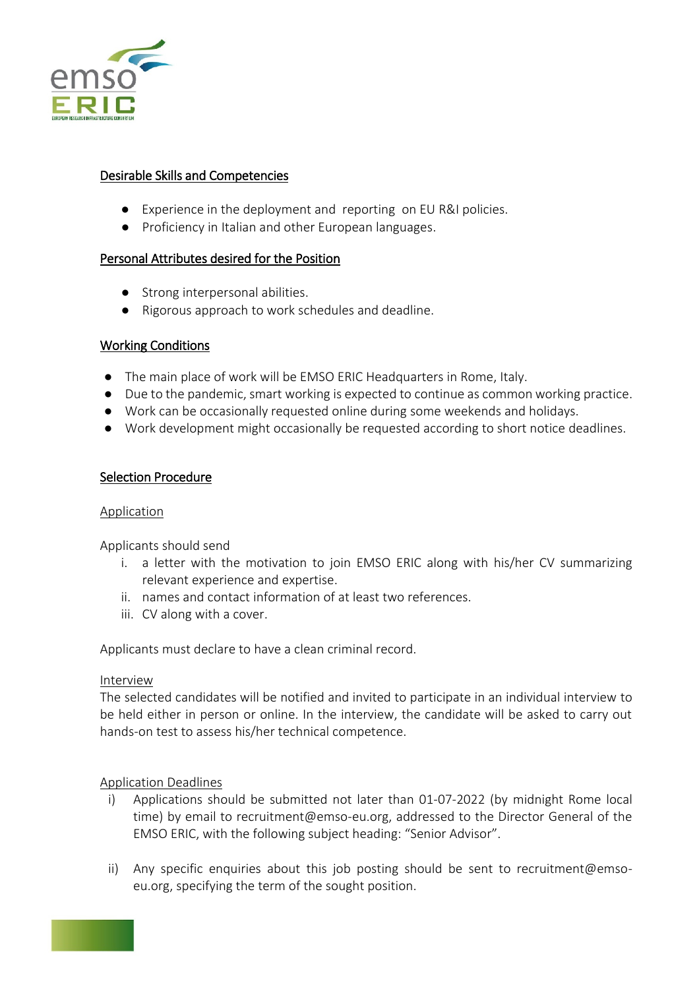

## Desirable Skills and Competencies

- Experience in the deployment and reporting on EU R&I policies.
- Proficiency in Italian and other European languages.

## Personal Attributes desired for the Position

- Strong interpersonal abilities.
- Rigorous approach to work schedules and deadline.

## Working Conditions

- The main place of work will be EMSO ERIC Headquarters in Rome, Italy.
- Due to the pandemic, smart working is expected to continue as common working practice.
- Work can be occasionally requested online during some weekends and holidays.
- Work development might occasionally be requested according to short notice deadlines.

## Selection Procedure

#### Application

Applicants should send

- i. a letter with the motivation to join EMSO ERIC along with his/her CV summarizing relevant experience and expertise.
- ii. names and contact information of at least two references.
- iii. CV along with a cover.

Applicants must declare to have a clean criminal record.

#### Interview

The selected candidates will be notified and invited to participate in an individual interview to be held either in person or online. In the interview, the candidate will be asked to carry out hands-on test to assess his/her technical competence.

Application Deadlines

- i) Applications should be submitted not later than 01-07-2022 (by midnight Rome local time) by email to recruitment@emso-eu.org, addressed to the Director General of the EMSO ERIC, with the following subject heading: "Senior Advisor".
- ii) Any specific enquiries about this job posting should be sent to recruitment@emsoeu.org, specifying the term of the sought position.